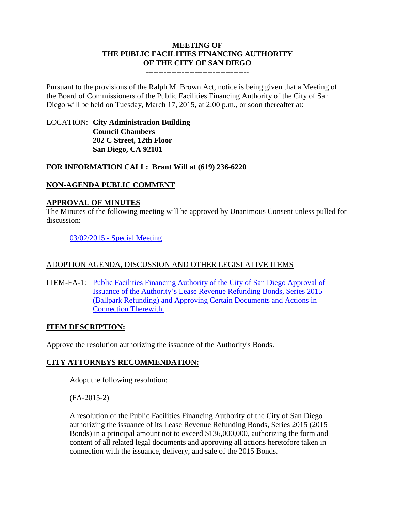#### **MEETING OF THE PUBLIC FACILITIES FINANCING AUTHORITY OF THE CITY OF SAN DIEGO**

**----------------------------------------**

Pursuant to the provisions of the Ralph M. Brown Act, notice is being given that a Meeting of the Board of Commissioners of the Public Facilities Financing Authority of the City of San Diego will be held on Tuesday, March 17, 2015, at 2:00 p.m., or soon thereafter at:

# LOCATION: **City Administration Building Council Chambers 202 C Street, 12th Floor San Diego, CA 92101**

## **FOR INFORMATION CALL: Brant Will at (619) 236-6220**

# **NON-AGENDA PUBLIC COMMENT**

## **APPROVAL OF MINUTES**

The Minutes of the following meeting will be approved by Unanimous Consent unless pulled for discussion:

03/02/2015 - [Special Meeting](http://www.sandiego.gov/city-clerk/pdf/pffa/pffaminutes150302.pdf)

## ADOPTION AGENDA, DISCUSSION AND OTHER LEGISLATIVE ITEMS

ITEM-FA-1: [Public Facilities Financing Authority of the City of San Diego Approval of](http://www.sandiego.gov/city-clerk/pdf/pffa/pffaexhibit150317FA1.pdf)  [Issuance of the Authority's Lease Revenue Refunding Bonds, Series 2015](http://www.sandiego.gov/city-clerk/pdf/pffa/pffaexhibit150317FA1.pdf)  [\(Ballpark Refunding\) and Approving Certain Documents and Actions in](http://www.sandiego.gov/city-clerk/pdf/pffa/pffaexhibit150317FA1.pdf)  [Connection Therewith.](http://www.sandiego.gov/city-clerk/pdf/pffa/pffaexhibit150317FA1.pdf)

## **ITEM DESCRIPTION:**

Approve the resolution authorizing the issuance of the Authority's Bonds.

## **CITY ATTORNEYS RECOMMENDATION:**

Adopt the following resolution:

(FA-2015-2)

A resolution of the Public Facilities Financing Authority of the City of San Diego authorizing the issuance of its Lease Revenue Refunding Bonds, Series 2015 (2015 Bonds) in a principal amount not to exceed \$136,000,000, authorizing the form and content of all related legal documents and approving all actions heretofore taken in connection with the issuance, delivery, and sale of the 2015 Bonds.